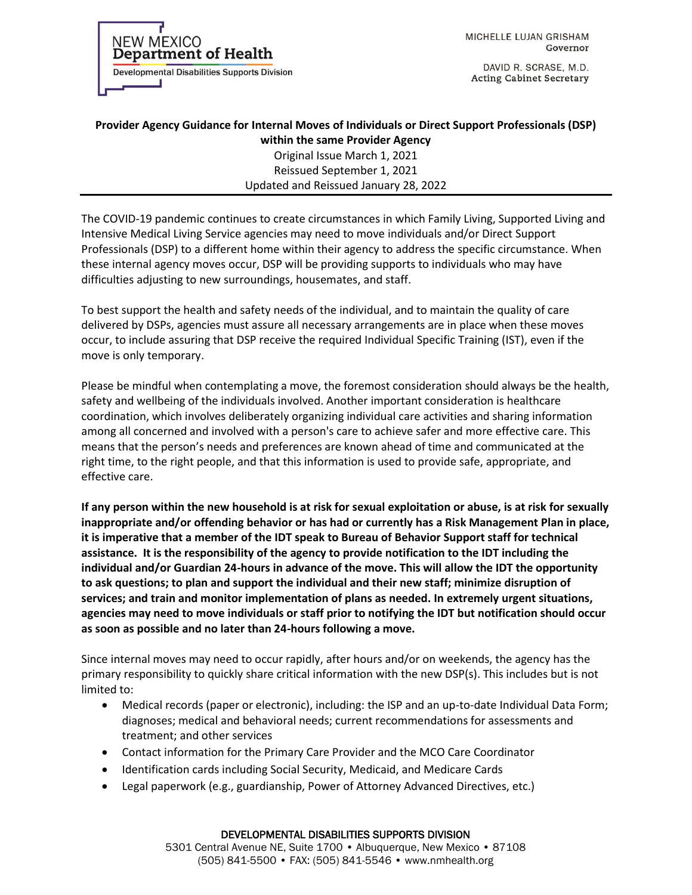**Department of Health Developmental Disabilities Supports Division** 

**NEW MEXICO** 

MICHELLE LUJAN GRISHAM Governor

DAVID R. SCRASE, M.D. **Acting Cabinet Secretary** 

## **Provider Agency Guidance for Internal Moves of Individuals or Direct Support Professionals (DSP) within the same Provider Agency**

Original Issue March 1, 2021 Reissued September 1, 2021 Updated and Reissued January 28, 2022

The COVID-19 pandemic continues to create circumstances in which Family Living, Supported Living and Intensive Medical Living Service agencies may need to move individuals and/or Direct Support Professionals (DSP) to a different home within their agency to address the specific circumstance. When these internal agency moves occur, DSP will be providing supports to individuals who may have difficulties adjusting to new surroundings, housemates, and staff.

To best support the health and safety needs of the individual, and to maintain the quality of care delivered by DSPs, agencies must assure all necessary arrangements are in place when these moves occur, to include assuring that DSP receive the required Individual Specific Training (IST), even if the move is only temporary.

Please be mindful when contemplating a move, the foremost consideration should always be the health, safety and wellbeing of the individuals involved. Another important consideration is healthcare coordination, which involves deliberately organizing individual care activities and sharing information among all concerned and involved with a person's care to achieve safer and more effective care. This means that the person's needs and preferences are known ahead of time and communicated at the right time, to the right people, and that this information is used to provide safe, appropriate, and effective care.

**If any person within the new household is at risk for sexual exploitation or abuse, is at risk for sexually inappropriate and/or offending behavior or has had or currently has a Risk Management Plan in place, it is imperative that a member of the IDT speak to Bureau of Behavior Support staff for technical assistance. It is the responsibility of the agency to provide notification to the IDT including the individual and/or Guardian 24-hours in advance of the move. This will allow the IDT the opportunity to ask questions; to plan and support the individual and their new staff; minimize disruption of services; and train and monitor implementation of plans as needed. In extremely urgent situations, agencies may need to move individuals or staff prior to notifying the IDT but notification should occur as soon as possible and no later than 24-hours following a move.** 

Since internal moves may need to occur rapidly, after hours and/or on weekends, the agency has the primary responsibility to quickly share critical information with the new DSP(s). This includes but is not limited to:

- Medical records (paper or electronic), including: the ISP and an up-to-date Individual Data Form; diagnoses; medical and behavioral needs; current recommendations for assessments and treatment; and other services
- Contact information for the Primary Care Provider and the MCO Care Coordinator
- Identification cards including Social Security, Medicaid, and Medicare Cards
- Legal paperwork (e.g., guardianship, Power of Attorney Advanced Directives, etc.)